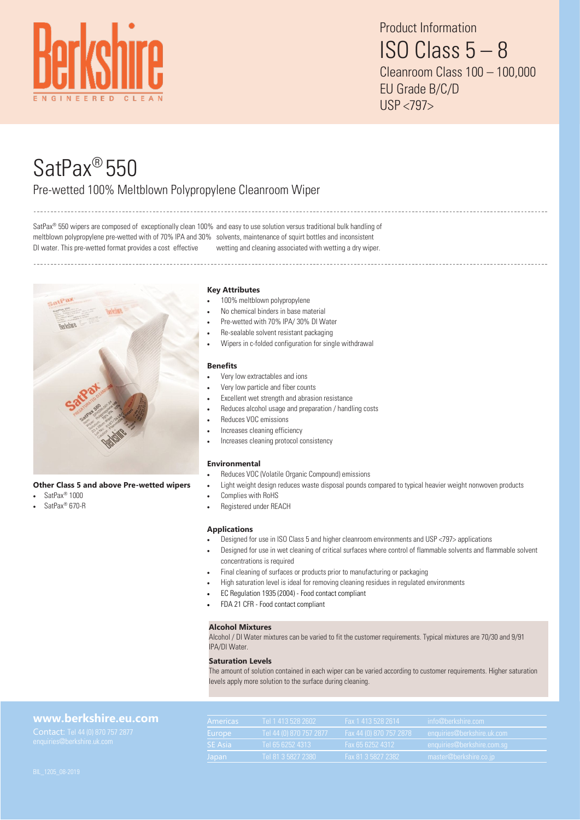

# SatPax® 550 Pre-wetted 100% Meltblown Polypropylene Cleanroom Wiper

SatPax<sup>®</sup> 550 wipers are composed of exceptionally clean 100% and easy to use solution versus traditional bulk handling of meltblown polypropylene pre-wetted with of 70% IPA and 30% solvents, maintenance of squirt bottles and inconsistent DI water. This pre-wetted format provides a cost effective wetting and cleaning associated with wetting a dry wiper.



# **Other Class 5 and above Pre-wetted wipers**

- SatPax® 1000
- SatPax® 670-R

# **Key Attributes**

- 100% meltblown polypropylene
- No chemical binders in base material
- Pre-wetted with 70% IPA/ 30% DI Water
- Re-sealable solvent resistant packaging
- Wipers in c-folded configuration for single withdrawal

#### **Benefits**

- Very low extractables and ions
- Very low particle and fiber counts
- Excellent wet strength and abrasion resistance
- Reduces alcohol usage and preparation / handling costs
- Reduces VOC emissions
- Increases cleaning efficiency
- Increases cleaning protocol consistency

### **Environmental**

- Reduces VOC (Volatile Organic Compound) emissions
- Light weight design reduces waste disposal pounds compared to typical heavier weight nonwoven products
- Complies with RoHS
- Registered under REACH

#### **Applications**

- Designed for use in ISO Class 5 and higher cleanroom environments and USP <797> applications
- Designed for use in wet cleaning of critical surfaces where control of flammable solvents and flammable solvent concentrations is required
- Final cleaning of surfaces or products prior to manufacturing or packaging
- High saturation level is ideal for removing cleaning residues in regulated environments
- EC Regulation 1935 (2004) Food contact compliant
- FDA 21 CFR Food contact compliant

### **Alcohol Mixtures**

Alcohol / DI Water mixtures can be varied to fit the customer requirements. Typical mixtures are 70/30 and 9/91 IPA/DI Water.

#### **Saturation Levels**

The amount of solution contained in each wiper can be varied according to customer requirements. Higher saturation levels apply more solution to the surface during cleaning.

| www.berkshire.eu.com                                           | Americas       | Tel 1 413 528 2602        | Fax 1 413 528 2614        | info@berkshire.com         |
|----------------------------------------------------------------|----------------|---------------------------|---------------------------|----------------------------|
| Contact: Tel 44 (0) 870 757 2877<br>enquiries@berkshire.uk.com | Europe         | Tel 44 (0) 870 757 2877 ' | Fax 44 (0) 870 757 2878 1 | enquiries@berkshire.uk.com |
|                                                                | <b>SE Asia</b> | Tel 65 6252 4313          | Fax 65 6252 4312          | enquiries@berkshire.com.sq |
|                                                                | Japan          | Tel 81 3 5827 2380        | Fax 81 3 5827 2382        | master@berkshire.co.jp     |